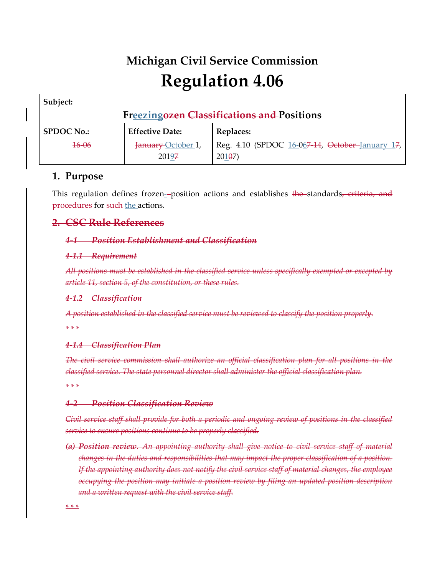# **Michigan Civil Service Commission Regulation 4.06**

| Subject:                                          |                             |                                                          |
|---------------------------------------------------|-----------------------------|----------------------------------------------------------|
| <b>Freezingozen Classifications and Positions</b> |                             |                                                          |
| <b>SPDOC No.:</b>                                 | <b>Effective Date:</b>      | Replaces:                                                |
| $16 - 06$                                         | January October 1,<br>20197 | Reg. 4.10 (SPDOC 16-067-14, October-January 17,<br>20107 |

# **1. Purpose**

This regulation defines frozen-position actions and establishes the standards, criteria, and procedures for such the actions.

# **2. CSC Rule References**

#### *4-1 Position Establishment and Classification*

#### *4-1.1 Requirement*

*All positions must be established in the classified service unless specifically exempted or excepted by article 11, section 5, of the constitution, or these rules.*

#### *4-1.2 Classification*

*A position established in the classified service must be reviewed to classify the position properly.*

*\* \* \** 

## *4-1.4 Classification Plan*

*The civil service commission shall authorize an official classification plan for all positions in the classified service. The state personnel director shall administer the official classification plan.*

*\* \* \** 

## *4-2 Position Classification Review*

*Civil service staff shall provide for both a periodic and ongoing review of positions in the classified service to ensure positions continue to be properly classified.*

*(a) Position review. An appointing authority shall give notice to civil service staff of material changes in the duties and responsibilities that may impact the proper classification of a position. If the appointing authority does not notify the civil service staff of material changes, the employee occupying the position may initiate a position review by filing an updated position description and a written request with the civil service staff.*

*\* \* \**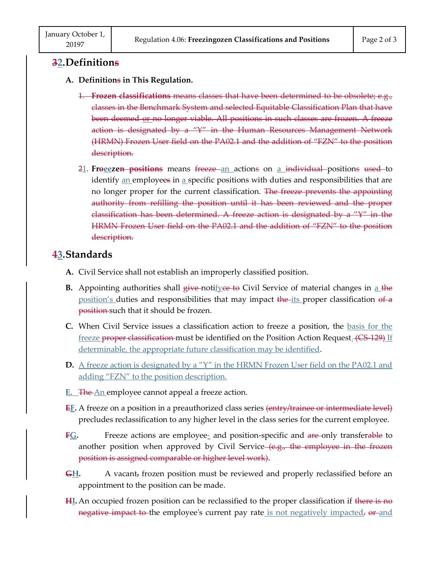## **32.Definitions**

#### **A. Definitions in This Regulation.**

- 1. **Frozen classifications** means classes that have been determined to be obsolete; e.g., classes in the Benchmark System and selected Equitable Classification Plan that have been deemed or no longer viable. All positions in such classes are frozen. A freeze action is designated by a "Y" in the Human Resources Management Network (HRMN) Frozen User field on the PA02.1 and the addition of "FZN" to the position description. (HRMN) Frozen User field on the PA02.1 and the addition of "FZN" to the positic<br>description.<br>21. Frocezon positions means freeze an actions on a individual positions used
- 21. **Froeezen positions** means freeze an actions on a individual positions used to identify an employees in a specific positions with duties and responsibilities that are no longer proper for the current classification. The freeze prevents the appointing authority from refilling the position until it has been reviewed and the proper classification has been determined. A freeze action is designated by a "Y" in the HRMN Frozen User field on the PA02.1 and the addition of "FZN" to the position description.

# **43.Standards**

- **A.** Civil Service shall not establish an improperly classified position.
- **B.** Appointing authorities shall give-notifyce to Civil Service of material changes in <u>a the</u> position's duties and responsibilities that may impact the its proper classification of a position such that it should be frozen.
- **C.** When Civil Service issues a classification action to freeze a position, the basis for the freeze **proper classification** must be identified on the Position Action Request. (CS 129) If determinable, the appropriate future classification may be identified.
- **D.** A freeze action is designated by a "Y" in the HRMN Frozen User field on the PA02.1 and adding "FZN" to the position description.
- **E.** The An employee cannot appeal a freeze action.
- **EF.** A freeze on a position in a preauthorized class series (entry/trainee or intermediate level) precludes reclassification to any higher level in the class series for the current employee.
- **FG.** Freeze actions are employee- and position-specific and are-only transferable to another position when approved by Civil Service  $(e.g., the employee in the frozen$ position is assigned comparable or higher level work). Examples are intermediate leads series for the current employ<br>specific and are-only transferably<br>e--(e.g., the employee in the from<br>the from the from the from the proper classified before<br>the proper classification if there
- GH. A vacant<sub>7</sub> frozen position must be reviewed and properly reclassified before an appointment to the position can be made.
- HI. An occupied frozen position can be reclassified to the proper classification if there is no negative impact to the employee's current pay rate is not negatively impacted, or and